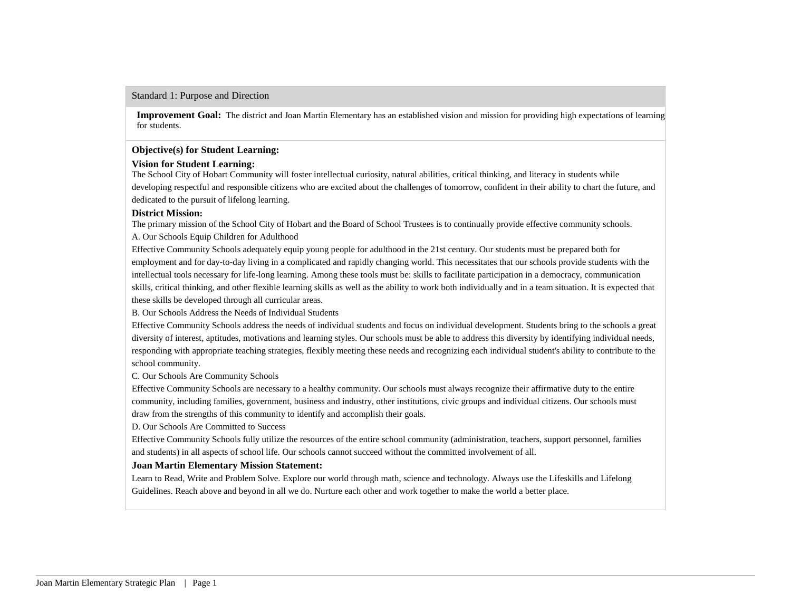#### Standard 1: Purpose and Direction

**Improvement Goal:** The district and Joan Martin Elementary has an established vision and mission for providing high expectations of learning for students.

#### **Objective(s) for Student Learning:**

### **Vision for Student Learning:**

The School City of Hobart Community will foster intellectual curiosity, natural abilities, critical thinking, and literacy in students while developing respectful and responsible citizens who are excited about the challenges of tomorrow, confident in their ability to chart the future, and dedicated to the pursuit of lifelong learning.

### **District Mission:**

The primary mission of the School City of Hobart and the Board of School Trustees is to continually provide effective community schools. A. Our Schools Equip Children for Adulthood

Effective Community Schools adequately equip young people for adulthood in the 21st century. Our students must be prepared both for employment and for day-to-day living in a complicated and rapidly changing world. This necessitates that our schools provide students with the intellectual tools necessary for life-long learning. Among these tools must be: skills to facilitate participation in a democracy, communication skills, critical thinking, and other flexible learning skills as well as the ability to work both individually and in a team situation. It is expected that these skills be developed through all curricular areas.

B. Our Schools Address the Needs of Individual Students

Effective Community Schools address the needs of individual students and focus on individual development. Students bring to the schools a great diversity of interest, aptitudes, motivations and learning styles. Our schools must be able to address this diversity by identifying individual needs, responding with appropriate teaching strategies, flexibly meeting these needs and recognizing each individual student's ability to contribute to the school community.

C. Our Schools Are Community Schools

Effective Community Schools are necessary to a healthy community. Our schools must always recognize their affirmative duty to the entire community, including families, government, business and industry, other institutions, civic groups and individual citizens. Our schools must draw from the strengths of this community to identify and accomplish their goals.

D. Our Schools Are Committed to Success

Effective Community Schools fully utilize the resources of the entire school community (administration, teachers, support personnel, families and students) in all aspects of school life. Our schools cannot succeed without the committed involvement of all.

## **Joan Martin Elementary Mission Statement:**

Learn to Read, Write and Problem Solve. Explore our world through math, science and technology. Always use the Lifeskills and Lifelong Guidelines. Reach above and beyond in all we do. Nurture each other and work together to make the world a better place.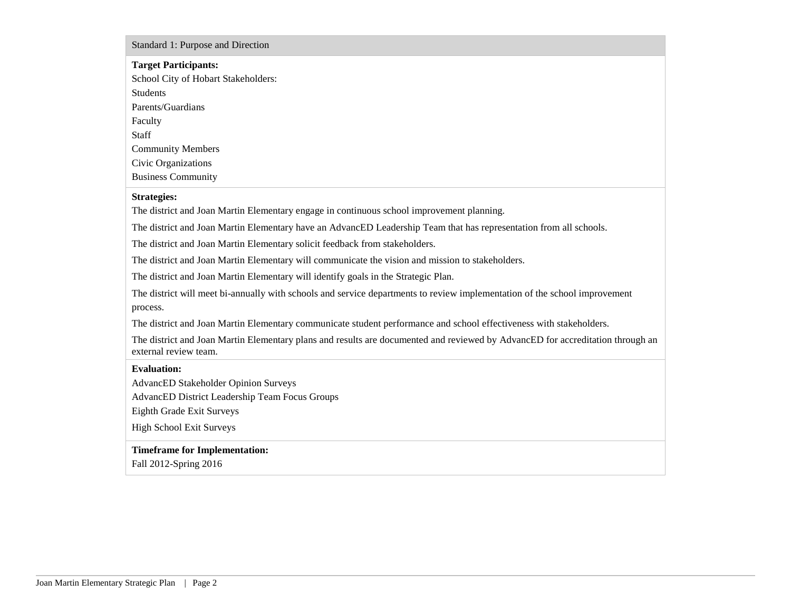#### Standard 1: Purpose and Direction

# **Target Participants:**

School City of Hobart Stakeholders: Students Parents/Guardians Faculty Staff Community Members Civic Organizations Business Community

### **Strategies:**

The district and Joan Martin Elementary engage in continuous school improvement planning.

The district and Joan Martin Elementary have an AdvancED Leadership Team that has representation from all schools.

The district and Joan Martin Elementary solicit feedback from stakeholders.

The district and Joan Martin Elementary will communicate the vision and mission to stakeholders.

The district and Joan Martin Elementary will identify goals in the Strategic Plan.

The district will meet bi-annually with schools and service departments to review implementation of the school improvement process.

The district and Joan Martin Elementary communicate student performance and school effectiveness with stakeholders.

The district and Joan Martin Elementary plans and results are documented and reviewed by AdvancED for accreditation through an external review team.

## **Evaluation:**

AdvancED Stakeholder Opinion Surveys

AdvancED District Leadership Team Focus Groups

Eighth Grade Exit Surveys

High School Exit Surveys

## **Timeframe for Implementation:**

Fall 2012-Spring 2016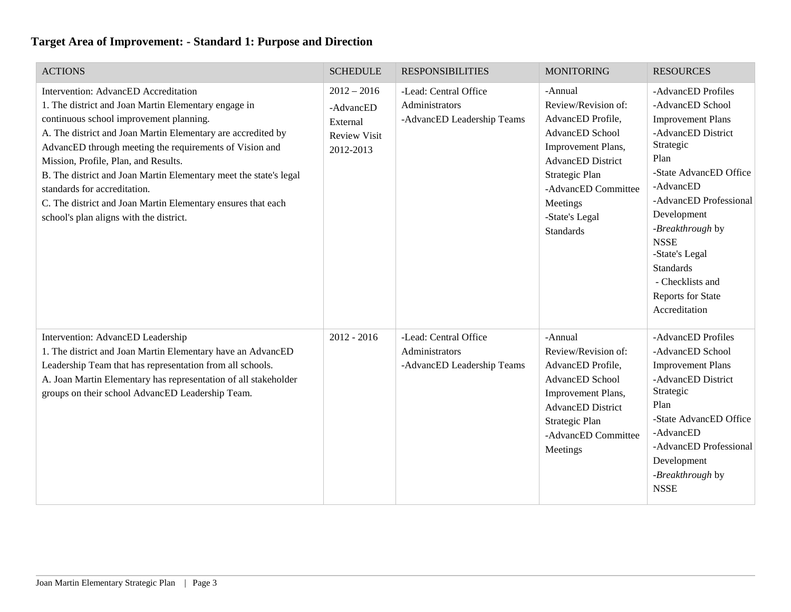| <b>ACTIONS</b>                                                                                                                                                                                                                                                                                                                                                                                                                                                                                                             | <b>SCHEDULE</b>                                                            | <b>RESPONSIBILITIES</b>                                               | <b>MONITORING</b>                                                                                                                                                                                                   | <b>RESOURCES</b>                                                                                                                                                                                                                                                                                                                 |
|----------------------------------------------------------------------------------------------------------------------------------------------------------------------------------------------------------------------------------------------------------------------------------------------------------------------------------------------------------------------------------------------------------------------------------------------------------------------------------------------------------------------------|----------------------------------------------------------------------------|-----------------------------------------------------------------------|---------------------------------------------------------------------------------------------------------------------------------------------------------------------------------------------------------------------|----------------------------------------------------------------------------------------------------------------------------------------------------------------------------------------------------------------------------------------------------------------------------------------------------------------------------------|
| Intervention: AdvancED Accreditation<br>1. The district and Joan Martin Elementary engage in<br>continuous school improvement planning.<br>A. The district and Joan Martin Elementary are accredited by<br>AdvancED through meeting the requirements of Vision and<br>Mission, Profile, Plan, and Results.<br>B. The district and Joan Martin Elementary meet the state's legal<br>standards for accreditation.<br>C. The district and Joan Martin Elementary ensures that each<br>school's plan aligns with the district. | $2012 - 2016$<br>-AdvancED<br>External<br><b>Review Visit</b><br>2012-2013 | -Lead: Central Office<br>Administrators<br>-AdvancED Leadership Teams | -Annual<br>Review/Revision of:<br>AdvancED Profile,<br>AdvancED School<br>Improvement Plans,<br><b>AdvancED</b> District<br>Strategic Plan<br>-AdvancED Committee<br>Meetings<br>-State's Legal<br><b>Standards</b> | -AdvancED Profiles<br>-AdvancED School<br><b>Improvement Plans</b><br>-AdvancED District<br>Strategic<br>Plan<br>-State AdvancED Office<br>-AdvancED<br>-AdvancED Professional<br>Development<br>-Breakthrough by<br><b>NSSE</b><br>-State's Legal<br><b>Standards</b><br>- Checklists and<br>Reports for State<br>Accreditation |
| Intervention: AdvancED Leadership<br>1. The district and Joan Martin Elementary have an AdvancED<br>Leadership Team that has representation from all schools.<br>A. Joan Martin Elementary has representation of all stakeholder<br>groups on their school AdvancED Leadership Team.                                                                                                                                                                                                                                       | $2012 - 2016$                                                              | -Lead: Central Office<br>Administrators<br>-AdvancED Leadership Teams | -Annual<br>Review/Revision of:<br>AdvancED Profile,<br>AdvancED School<br>Improvement Plans,<br><b>AdvancED</b> District<br>Strategic Plan<br>-AdvancED Committee<br>Meetings                                       | -AdvancED Profiles<br>-AdvancED School<br><b>Improvement Plans</b><br>-AdvancED District<br>Strategic<br>Plan<br>-State AdvancED Office<br>-AdvancED<br>-AdvancED Professional<br>Development<br>-Breakthrough by<br><b>NSSE</b>                                                                                                 |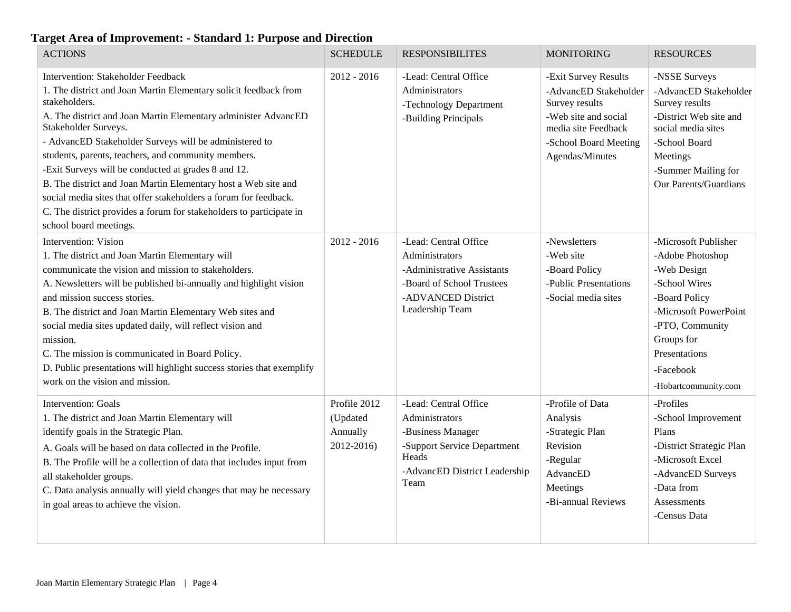| <b>ACTIONS</b>                                                                                                                                                                                                                                                                                                                                                                                                                                                                                                                                                                                                                   | <b>SCHEDULE</b>                                    | <b>RESPONSIBILITES</b>                                                                                                                        | <b>MONITORING</b>                                                                                                                                          | <b>RESOURCES</b>                                                                                                                                                                                          |
|----------------------------------------------------------------------------------------------------------------------------------------------------------------------------------------------------------------------------------------------------------------------------------------------------------------------------------------------------------------------------------------------------------------------------------------------------------------------------------------------------------------------------------------------------------------------------------------------------------------------------------|----------------------------------------------------|-----------------------------------------------------------------------------------------------------------------------------------------------|------------------------------------------------------------------------------------------------------------------------------------------------------------|-----------------------------------------------------------------------------------------------------------------------------------------------------------------------------------------------------------|
| Intervention: Stakeholder Feedback<br>1. The district and Joan Martin Elementary solicit feedback from<br>stakeholders.<br>A. The district and Joan Martin Elementary administer AdvancED<br>Stakeholder Surveys.<br>- AdvancED Stakeholder Surveys will be administered to<br>students, parents, teachers, and community members.<br>-Exit Surveys will be conducted at grades 8 and 12.<br>B. The district and Joan Martin Elementary host a Web site and<br>social media sites that offer stakeholders a forum for feedback.<br>C. The district provides a forum for stakeholders to participate in<br>school board meetings. | $2012 - 2016$                                      | -Lead: Central Office<br>Administrators<br>-Technology Department<br>-Building Principals                                                     | -Exit Survey Results<br>-AdvancED Stakeholder<br>Survey results<br>-Web site and social<br>media site Feedback<br>-School Board Meeting<br>Agendas/Minutes | -NSSE Surveys<br>-AdvancED Stakeholder<br>Survey results<br>-District Web site and<br>social media sites<br>-School Board<br>Meetings<br>-Summer Mailing for<br>Our Parents/Guardians                     |
| <b>Intervention: Vision</b><br>1. The district and Joan Martin Elementary will<br>communicate the vision and mission to stakeholders.<br>A. Newsletters will be published bi-annually and highlight vision<br>and mission success stories.<br>B. The district and Joan Martin Elementary Web sites and<br>social media sites updated daily, will reflect vision and<br>mission.<br>C. The mission is communicated in Board Policy.<br>D. Public presentations will highlight success stories that exemplify<br>work on the vision and mission.                                                                                   | $2012 - 2016$                                      | -Lead: Central Office<br>Administrators<br>-Administrative Assistants<br>-Board of School Trustees<br>-ADVANCED District<br>Leadership Team   | -Newsletters<br>-Web site<br>-Board Policy<br>-Public Presentations<br>-Social media sites                                                                 | -Microsoft Publisher<br>-Adobe Photoshop<br>-Web Design<br>-School Wires<br>-Board Policy<br>-Microsoft PowerPoint<br>-PTO, Community<br>Groups for<br>Presentations<br>-Facebook<br>-Hobartcommunity.com |
| <b>Intervention: Goals</b><br>1. The district and Joan Martin Elementary will<br>identify goals in the Strategic Plan.<br>A. Goals will be based on data collected in the Profile.<br>B. The Profile will be a collection of data that includes input from<br>all stakeholder groups.<br>C. Data analysis annually will yield changes that may be necessary<br>in goal areas to achieve the vision.                                                                                                                                                                                                                              | Profile 2012<br>(Updated<br>Annually<br>2012-2016) | -Lead: Central Office<br>Administrators<br>-Business Manager<br>-Support Service Department<br>Heads<br>-AdvancED District Leadership<br>Team | -Profile of Data<br>Analysis<br>-Strategic Plan<br>Revision<br>-Regular<br>AdvancED<br>Meetings<br>-Bi-annual Reviews                                      | -Profiles<br>-School Improvement<br>Plans<br>-District Strategic Plan<br>-Microsoft Excel<br>-AdvancED Surveys<br>-Data from<br>Assessments<br>-Census Data                                               |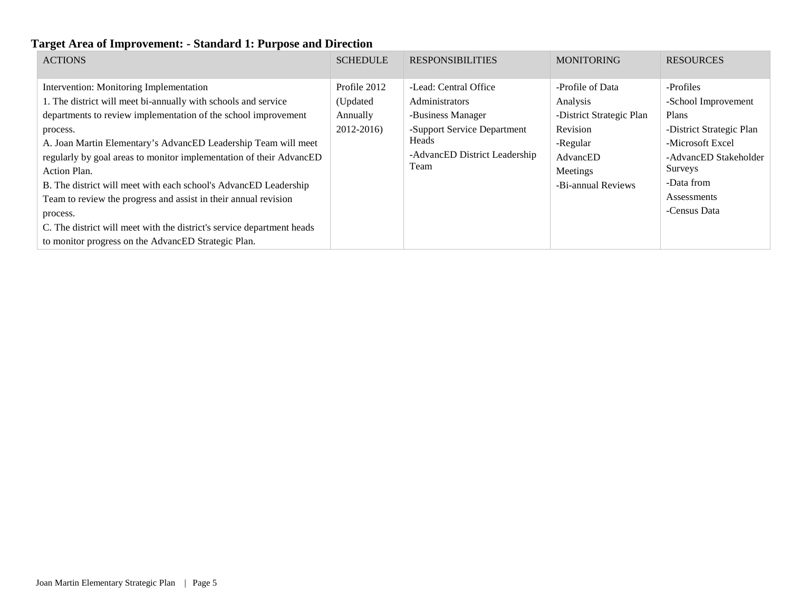| <b>ACTIONS</b>                                                                                                                                                                                                                                                                                                                                                                                                                                                                                                                                                                                                                       | <b>SCHEDULE</b>                                    | <b>RESPONSIBILITIES</b>                                                                                                                       | <b>MONITORING</b>                                                                                                              | <b>RESOURCES</b>                                                                                                                                                           |
|--------------------------------------------------------------------------------------------------------------------------------------------------------------------------------------------------------------------------------------------------------------------------------------------------------------------------------------------------------------------------------------------------------------------------------------------------------------------------------------------------------------------------------------------------------------------------------------------------------------------------------------|----------------------------------------------------|-----------------------------------------------------------------------------------------------------------------------------------------------|--------------------------------------------------------------------------------------------------------------------------------|----------------------------------------------------------------------------------------------------------------------------------------------------------------------------|
| Intervention: Monitoring Implementation<br>1. The district will meet bi-annually with schools and service<br>departments to review implementation of the school improvement<br>process.<br>A. Joan Martin Elementary's AdvancED Leadership Team will meet<br>regularly by goal areas to monitor implementation of their AdvancED<br>Action Plan.<br>B. The district will meet with each school's AdvancED Leadership<br>Team to review the progress and assist in their annual revision<br>process.<br>C. The district will meet with the district's service department heads<br>to monitor progress on the AdvancED Strategic Plan. | Profile 2012<br>(Updated<br>Annually<br>2012-2016) | -Lead: Central Office<br>Administrators<br>-Business Manager<br>-Support Service Department<br>Heads<br>-AdvancED District Leadership<br>Team | -Profile of Data<br>Analysis<br>-District Strategic Plan<br>Revision<br>-Regular<br>AdvancED<br>Meetings<br>-Bi-annual Reviews | -Profiles<br>-School Improvement<br>Plans<br>-District Strategic Plan<br>-Microsoft Excel<br>-AdvancED Stakeholder<br>Surveys<br>-Data from<br>Assessments<br>-Census Data |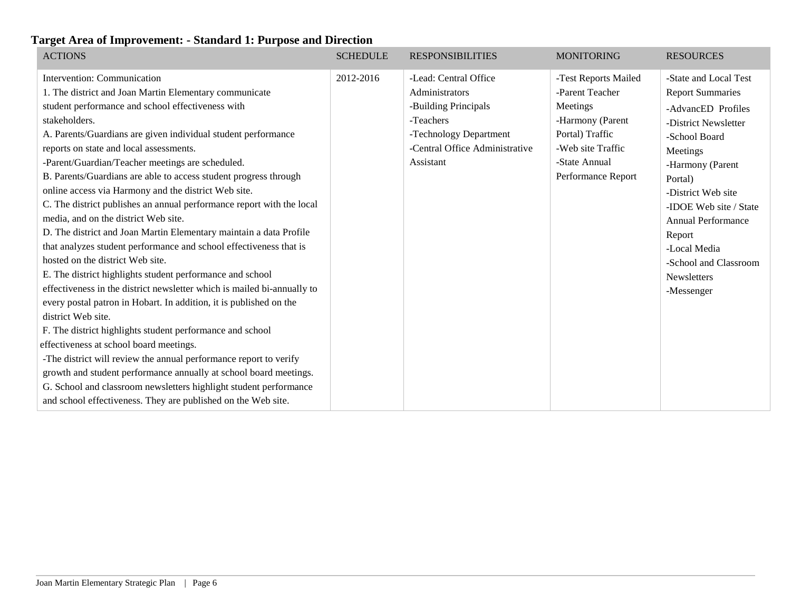| <b>ACTIONS</b>                                                                                                                                                                                                                                                                                                                                                                                                                                                                                                                                                                                                                                                                                                                                                                                                                                                                                                                                                                                                                                                                                                                                                                                                                                                                                                                                                                       | <b>SCHEDULE</b> | <b>RESPONSIBILITIES</b>                                                                                                                               | <b>MONITORING</b>                                                                                                                                      | <b>RESOURCES</b>                                                                                                                                                                                                                                                                                                        |
|--------------------------------------------------------------------------------------------------------------------------------------------------------------------------------------------------------------------------------------------------------------------------------------------------------------------------------------------------------------------------------------------------------------------------------------------------------------------------------------------------------------------------------------------------------------------------------------------------------------------------------------------------------------------------------------------------------------------------------------------------------------------------------------------------------------------------------------------------------------------------------------------------------------------------------------------------------------------------------------------------------------------------------------------------------------------------------------------------------------------------------------------------------------------------------------------------------------------------------------------------------------------------------------------------------------------------------------------------------------------------------------|-----------------|-------------------------------------------------------------------------------------------------------------------------------------------------------|--------------------------------------------------------------------------------------------------------------------------------------------------------|-------------------------------------------------------------------------------------------------------------------------------------------------------------------------------------------------------------------------------------------------------------------------------------------------------------------------|
| Intervention: Communication<br>1. The district and Joan Martin Elementary communicate<br>student performance and school effectiveness with<br>stakeholders.<br>A. Parents/Guardians are given individual student performance<br>reports on state and local assessments.<br>-Parent/Guardian/Teacher meetings are scheduled.<br>B. Parents/Guardians are able to access student progress through<br>online access via Harmony and the district Web site.<br>C. The district publishes an annual performance report with the local<br>media, and on the district Web site.<br>D. The district and Joan Martin Elementary maintain a data Profile<br>that analyzes student performance and school effectiveness that is<br>hosted on the district Web site.<br>E. The district highlights student performance and school<br>effectiveness in the district newsletter which is mailed bi-annually to<br>every postal patron in Hobart. In addition, it is published on the<br>district Web site.<br>F. The district highlights student performance and school<br>effectiveness at school board meetings.<br>-The district will review the annual performance report to verify<br>growth and student performance annually at school board meetings.<br>G. School and classroom newsletters highlight student performance<br>and school effectiveness. They are published on the Web site. | 2012-2016       | -Lead: Central Office<br>Administrators<br>-Building Principals<br>-Teachers<br>-Technology Department<br>-Central Office Administrative<br>Assistant | -Test Reports Mailed<br>-Parent Teacher<br>Meetings<br>-Harmony (Parent<br>Portal) Traffic<br>-Web site Traffic<br>-State Annual<br>Performance Report | -State and Local Test<br><b>Report Summaries</b><br>-AdvancED Profiles<br>-District Newsletter<br>-School Board<br>Meetings<br>-Harmony (Parent<br>Portal)<br>-District Web site<br>-IDOE Web site / State<br><b>Annual Performance</b><br>Report<br>-Local Media<br>-School and Classroom<br>Newsletters<br>-Messenger |